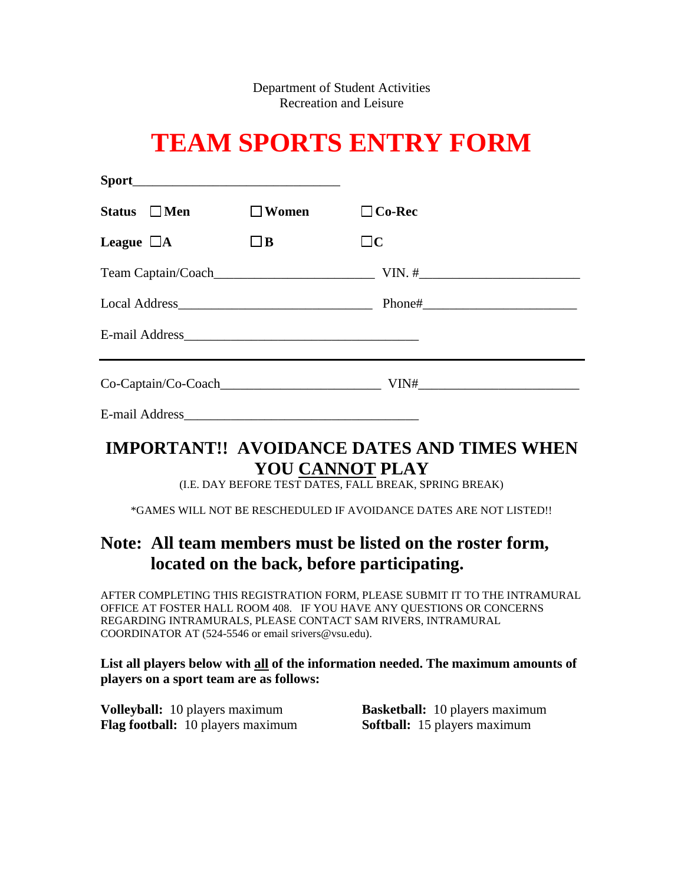Department of Student Activities Recreation and Leisure

## **TEAM SPORTS ENTRY FORM**

| Status $\Box$ Men                   | $\Box$ Women | $\Box$ Co-Rec |  |
|-------------------------------------|--------------|---------------|--|
| League $\Box$ A                     | $\Box$ B     | $\Box{\bf C}$ |  |
|                                     |              |               |  |
| Local Address <b>Manual Address</b> |              |               |  |
|                                     |              |               |  |
| Co-Captain/Co-Coach                 |              | $VIN\#$       |  |
| <b>E-mail Address</b>               |              |               |  |

## **IMPORTANT!! AVOIDANCE DATES AND TIMES WHEN YOU CANNOT PLAY**

(I.E. DAY BEFORE TEST DATES, FALL BREAK, SPRING BREAK)

\*GAMES WILL NOT BE RESCHEDULED IF AVOIDANCE DATES ARE NOT LISTED!!

## **Note: All team members must be listed on the roster form, located on the back, before participating.**

AFTER COMPLETING THIS REGISTRATION FORM, PLEASE SUBMIT IT TO THE INTRAMURAL OFFICE AT FOSTER HALL ROOM 408. IF YOU HAVE ANY QUESTIONS OR CONCERNS REGARDING INTRAMURALS, PLEASE CONTACT SAM RIVERS, INTRAMURAL COORDINATOR AT (524-5546 or email srivers@vsu.edu).

**List all players below with all of the information needed. The maximum amounts of players on a sport team are as follows:**

| <b>Volleyball:</b> 10 players maximum    | <b>Basketball:</b> 10 players maximum |
|------------------------------------------|---------------------------------------|
| <b>Flag football:</b> 10 players maximum | <b>Softball:</b> 15 players maximum   |